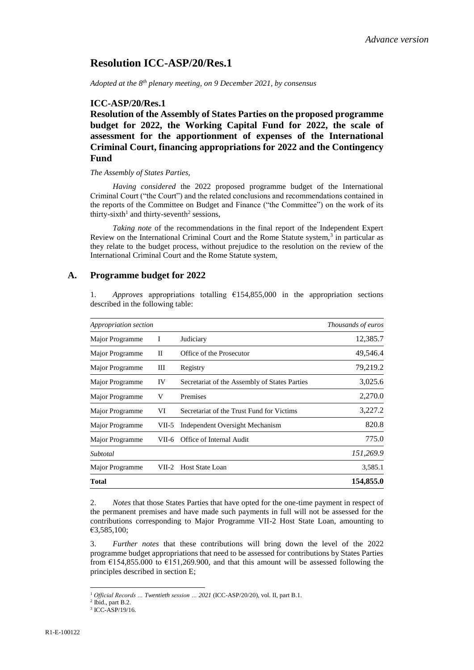# **Resolution ICC-ASP/20/Res.1**

*Adopted at the 8 th plenary meeting, on 9 December 2021, by consensus*

### **ICC-ASP/20/Res.1**

**Resolution of the Assembly of States Parties on the proposed programme budget for 2022, the Working Capital Fund for 2022, the scale of assessment for the apportionment of expenses of the International Criminal Court, financing appropriations for 2022 and the Contingency Fund**

#### *The Assembly of States Parties,*

*Having considered* the 2022 proposed programme budget of the International Criminal Court ("the Court") and the related conclusions and recommendations contained in the reports of the Committee on Budget and Finance ("the Committee") on the work of its thirty-sixth<sup>1</sup> and thirty-seventh<sup>2</sup> sessions,

*Taking note* of the recommendations in the final report of the Independent Expert Review on the International Criminal Court and the Rome Statute system, $3$  in particular as they relate to the budget process, without prejudice to the resolution on the review of the International Criminal Court and the Rome Statute system,

### **A. Programme budget for 2022**

1. *Approves* appropriations totalling €154,855,000 in the appropriation sections described in the following table:

| Appropriation section | Thousands of euros |                                               |           |
|-----------------------|--------------------|-----------------------------------------------|-----------|
| Major Programme       | I                  | Judiciary                                     | 12,385.7  |
| Major Programme       | П                  | Office of the Prosecutor                      | 49,546.4  |
| Major Programme       | Ш                  | Registry                                      | 79,219.2  |
| Major Programme       | IV                 | Secretariat of the Assembly of States Parties | 3,025.6   |
| Major Programme       | V                  | Premises                                      | 2,270.0   |
| Major Programme       | VI                 | Secretariat of the Trust Fund for Victims     | 3,227.2   |
| Major Programme       | VII-5              | Independent Oversight Mechanism               | 820.8     |
| Major Programme       | VII-6              | Office of Internal Audit                      | 775.0     |
| Subtotal              |                    |                                               | 151,269.9 |
| Major Programme       | VII-2              | <b>Host State Loan</b>                        | 3,585.1   |
| <b>Total</b>          |                    |                                               | 154,855.0 |

2. *Notes* that those States Parties that have opted for the one-time payment in respect of the permanent premises and have made such payments in full will not be assessed for the contributions corresponding to Major Programme VII-2 Host State Loan, amounting to €3,585,100;

3. *Further notes* that these contributions will bring down the level of the 2022 programme budget appropriations that need to be assessed for contributions by States Parties from  $\epsilon$ 154,855.000 to  $\epsilon$ 151,269.900, and that this amount will be assessed following the principles described in section E;

<sup>1</sup> *Official Records … Twentieth session … 2021* (ICC-ASP/20/20), vol. II, part B.1.

 $<sup>2</sup>$  Ibid., part B.2.</sup>

<sup>3</sup> ICC-ASP/19/16.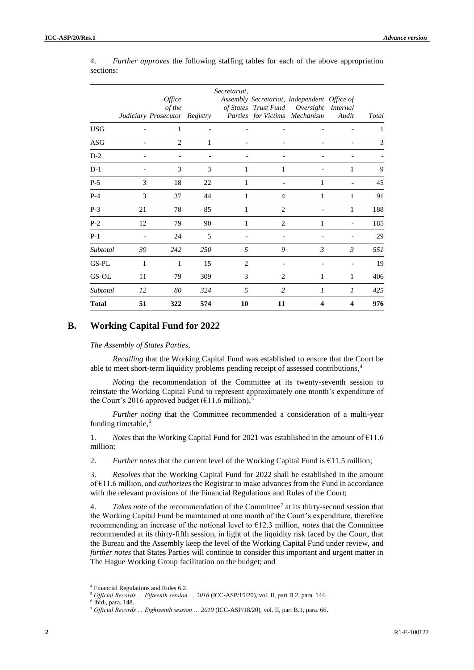|              |    | Office<br>of the<br>Judiciary Prosecutor Registry |     | Secretariat, |                | Assembly Secretariat, Independent Office of<br>of States Trust Fund Oversight<br>Parties for Victims Mechanism | <i>Internal</i><br>Audit | Total |
|--------------|----|---------------------------------------------------|-----|--------------|----------------|----------------------------------------------------------------------------------------------------------------|--------------------------|-------|
| <b>USG</b>   |    | 1                                                 |     |              |                |                                                                                                                |                          | 1     |
| ASG          |    | 2                                                 | 1   |              |                |                                                                                                                |                          | 3     |
| $D-2$        |    |                                                   |     |              |                |                                                                                                                |                          |       |
| $D-1$        |    | 3                                                 | 3   | 1            | 1              |                                                                                                                | 1                        | 9     |
| $P-5$        | 3  | 18                                                | 22  | 1            |                | 1                                                                                                              |                          | 45    |
| $P-4$        | 3  | 37                                                | 44  | 1            | $\overline{4}$ | 1                                                                                                              | 1                        | 91    |
| $P-3$        | 21 | 78                                                | 85  | 1            | 2              |                                                                                                                | 1                        | 188   |
| $P-2$        | 12 | 79                                                | 90  | 1            | $\overline{2}$ | 1                                                                                                              |                          | 185   |
| $P-1$        |    | 24                                                | 5   |              |                |                                                                                                                |                          | 29    |
| Subtotal     | 39 | 242                                               | 250 | 5            | 9              | $\mathfrak{Z}$                                                                                                 | $\mathfrak{Z}$           | 551   |
| GS-PL        | 1  | 1                                                 | 15  | 2            |                |                                                                                                                |                          | 19    |
| GS-OL        | 11 | 79                                                | 309 | 3            | $\overline{2}$ | 1                                                                                                              | 1                        | 406   |
| Subtotal     | 12 | 80                                                | 324 | 5            | 2              | $\mathcal{I}$                                                                                                  | 1                        | 425   |
| <b>Total</b> | 51 | 322                                               | 574 | 10           | 11             | 4                                                                                                              | $\overline{\mathbf{4}}$  | 976   |

4. *Further approves* the following staffing tables for each of the above appropriation sections:

# **B. Working Capital Fund for 2022**

#### *The Assembly of States Parties,*

*Recalling* that the Working Capital Fund was established to ensure that the Court be able to meet short-term liquidity problems pending receipt of assessed contributions,<sup>4</sup>

*Noting* the recommendation of the Committee at its twenty-seventh session to reinstate the Working Capital Fund to represent approximately one month's expenditure of the Court's 2016 approved budget ( $\epsilon$ 11.6 million),<sup>5</sup>

*Further noting* that the Committee recommended a consideration of a multi-year funding timetable,<sup>6</sup>

1. *Notes* that the Working Capital Fund for 2021 was established in the amount of  $E11.6$ million;

2. *Further notes that the current level of the Working Capital Fund is*  $£11.5$  million;

3. *Resolves* that the Working Capital Fund for 2022 shall be established in the amount of €11.6 million, and *authorizes* the Registrar to make advances from the Fund in accordance with the relevant provisions of the Financial Regulations and Rules of the Court;

4. *Takes note* of the recommendation of the Committee<sup>7</sup> at its thirty-second session that the Working Capital Fund be maintained at one month of the Court's expenditure, therefore recommending an increase of the notional level to €12.3 million, *notes* that the Committee recommended at its thirty-fifth session, in light of the liquidity risk faced by the Court, that the Bureau and the Assembly keep the level of the Working Capital Fund under review, and *further notes* that States Parties will continue to consider this important and urgent matter in The Hague Working Group facilitation on the budget; and

<sup>4</sup> Financial Regulations and Rules 6.2.

<sup>5</sup> *Official Records … Fifteenth session … 2016* (ICC-ASP/15/20), vol. II, part B.2, para. 144.

<sup>6</sup> Ibid., para. 148.

<sup>7</sup> *Official Records … Eighteenth session … 2019* (ICC-ASP/18/20), vol. II, part B.1, para. 66**.**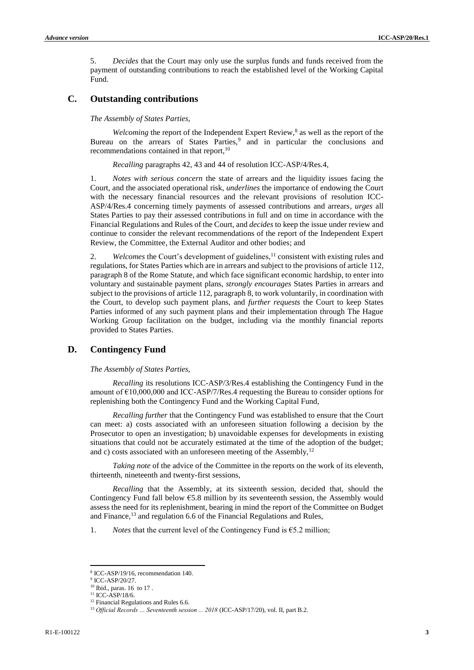5. *Decides* that the Court may only use the surplus funds and funds received from the payment of outstanding contributions to reach the established level of the Working Capital Fund.

#### **C. Outstanding contributions**

*The Assembly of States Parties,*

Welcoming the report of the Independent Expert Review,<sup>8</sup> as well as the report of the Bureau on the arrears of States Parties,<sup>9</sup> and in particular the conclusions and recommendations contained in that report,<sup>10</sup>

*Recalling* paragraphs 42, 43 and 44 of resolution ICC-ASP/4/Res.4,

1. *Notes with serious concern* the state of arrears and the liquidity issues facing the Court, and the associated operational risk, *underlines* the importance of endowing the Court with the necessary financial resources and the relevant provisions of resolution ICC-ASP/4/Res.4 concerning timely payments of assessed contributions and arrears, *urges* all States Parties to pay their assessed contributions in full and on time in accordance with the Financial Regulations and Rules of the Court, and *decides* to keep the issue under review and continue to consider the relevant recommendations of the report of the Independent Expert Review, the Committee, the External Auditor and other bodies; and

2. *Welcomes* the Court's development of guidelines,<sup>11</sup> consistent with existing rules and regulations, for States Parties which are in arrears and subject to the provisions of article 112, paragraph 8 of the Rome Statute, and which face significant economic hardship, to enter into voluntary and sustainable payment plans, *strongly encourages* States Parties in arrears and subject to the provisions of article 112, paragraph 8, to work voluntarily, in coordination with the Court, to develop such payment plans, and *further requests* the Court to keep States Parties informed of any such payment plans and their implementation through The Hague Working Group facilitation on the budget, including via the monthly financial reports provided to States Parties.

#### **D. Contingency Fund**

#### *The Assembly of States Parties,*

*Recalling* its resolutions ICC-ASP/3/Res.4 establishing the Contingency Fund in the amount of  $\text{\e}10,000,000$  and ICC-ASP/7/Res.4 requesting the Bureau to consider options for replenishing both the Contingency Fund and the Working Capital Fund,

*Recalling further* that the Contingency Fund was established to ensure that the Court can meet: a) costs associated with an unforeseen situation following a decision by the Prosecutor to open an investigation; b) unavoidable expenses for developments in existing situations that could not be accurately estimated at the time of the adoption of the budget; and c) costs associated with an unforeseen meeting of the Assembly, $12$ 

*Taking note* of the advice of the Committee in the reports on the work of its eleventh, thirteenth, nineteenth and twenty-first sessions,

*Recalling* that the Assembly, at its sixteenth session, decided that, should the Contingency Fund fall below  $65.8$  million by its seventeenth session, the Assembly would assess the need for its replenishment, bearing in mind the report of the Committee on Budget and Finance, $^{13}$  and regulation 6.6 of the Financial Regulations and Rules,

1. *Notes* that the current level of the Contingency Fund is  $E$ 5.2 million;

<sup>8</sup> ICC-ASP/19/16, recommendation 140.

<sup>9</sup> ICC-ASP/20/27.

<sup>10</sup> Ibid., paras. 16 to 17 .

 $11$  ICC-ASP/18/6.

<sup>&</sup>lt;sup>12</sup> Financial Regulations and Rules 6.6.

<sup>&</sup>lt;sup>13</sup> Official Records ... Seventeenth session ... 2018 (ICC-ASP/17/20), vol. II, part B.2.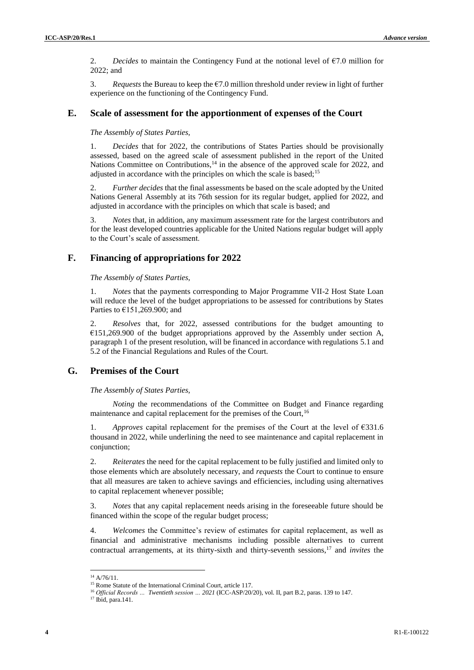2. *Decides* to maintain the Contingency Fund at the notional level of  $\epsilon$ 7.0 million for 2022; and

3. *Requests* the Bureau to keep the  $\epsilon$ 7.0 million threshold under review in light of further experience on the functioning of the Contingency Fund.

#### **E. Scale of assessment for the apportionment of expenses of the Court**

*The Assembly of States Parties,*

1. *Decides* that for 2022, the contributions of States Parties should be provisionally assessed, based on the agreed scale of assessment published in the report of the United Nations Committee on Contributions, $14$  in the absence of the approved scale for 2022, and adjusted in accordance with the principles on which the scale is based;<sup>15</sup>

2. *Further decides* that the final assessments be based on the scale adopted by the United Nations General Assembly at its 76th session for its regular budget, applied for 2022, and adjusted in accordance with the principles on which that scale is based; and

3. *Notes* that, in addition, any maximum assessment rate for the largest contributors and for the least developed countries applicable for the United Nations regular budget will apply to the Court's scale of assessment.

### **F. Financing of appropriations for 2022**

#### *The Assembly of States Parties,*

1. *Notes* that the payments corresponding to Major Programme VII-2 Host State Loan will reduce the level of the budget appropriations to be assessed for contributions by States Parties to  $£151,269.900$ ; and

2. *Resolves* that, for 2022, assessed contributions for the budget amounting to  $E$ 151,269.900 of the budget appropriations approved by the Assembly under section A, paragraph 1 of the present resolution, will be financed in accordance with regulations 5.1 and 5.2 of the Financial Regulations and Rules of the Court.

### **G. Premises of the Court**

*The Assembly of States Parties,*

*Noting* the recommendations of the Committee on Budget and Finance regarding maintenance and capital replacement for the premises of the Court,<sup>16</sup>

1. *Approves* capital replacement for the premises of the Court at the level of €331.6 thousand in 2022, while underlining the need to see maintenance and capital replacement in conjunction;

2. *Reiterates* the need for the capital replacement to be fully justified and limited only to those elements which are absolutely necessary, and *requests* the Court to continue to ensure that all measures are taken to achieve savings and efficiencies, including using alternatives to capital replacement whenever possible;

3. *Notes* that any capital replacement needs arising in the foreseeable future should be financed within the scope of the regular budget process;

4. *Welcomes* the Committee's review of estimates for capital replacement, as well as financial and administrative mechanisms including possible alternatives to current contractual arrangements, at its thirty-sixth and thirty-seventh sessions,<sup>17</sup> and *invites* the

 $14$  A/76/11.

<sup>&</sup>lt;sup>15</sup> Rome Statute of the International Criminal Court, article 117.

<sup>16</sup> *Official Records … Twentieth session … 2021* (ICC-ASP/20/20), vol. II, part B.2, paras. 139 to 147.

<sup>17</sup> Ibid, para.141.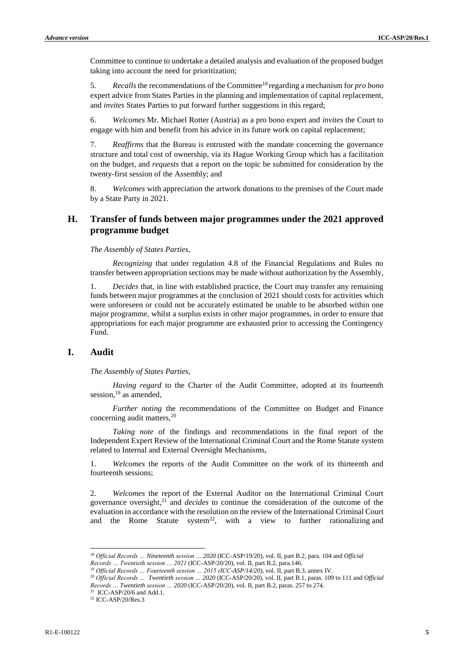Committee to continue to undertake a detailed analysis and evaluation of the proposed budget taking into account the need for prioritization;

5. *Recalls* the recommendations of the Committee<sup>18</sup> regarding a mechanism for *pro bono* expert advice from States Parties in the planning and implementation of capital replacement, and *invites* States Parties to put forward further suggestions in this regard;

6. *Welcomes* Mr. Michael Rotter (Austria) as a pro bono expert and *invites* the Court to engage with him and benefit from his advice in its future work on capital replacement;

7. *Reaffirms* that the Bureau is entrusted with the mandate concerning the governance structure and total cost of ownership, via its Hague Working Group which has a facilitation on the budget, and *requests* that a report on the topic be submitted for consideration by the twenty-first session of the Assembly; and

8. *Welcomes* with appreciation the artwork donations to the premises of the Court made by a State Party in 2021.

### **H. Transfer of funds between major programmes under the 2021 approved programme budget**

*The Assembly of States Parties,*

*Recognizing* that under regulation 4.8 of the Financial Regulations and Rules no transfer between appropriation sections may be made without authorization by the Assembly,

1. *Decides* that, in line with established practice, the Court may transfer any remaining funds between major programmes at the conclusion of 2021 should costs for activities which were unforeseen or could not be accurately estimated be unable to be absorbed within one major programme, whilst a surplus exists in other major programmes, in order to ensure that appropriations for each major programme are exhausted prior to accessing the Contingency Fund.

# **I. Audit**

*The Assembly of States Parties,*

*Having regard* to the Charter of the Audit Committee, adopted at its fourteenth session,  $^{19}$  as amended,

*Further noting* the recommendations of the Committee on Budget and Finance concerning audit matters,<sup>20</sup>

*Taking note* of the findings and recommendations in the final report of the Independent Expert Review of the International Criminal Court and the Rome Statute system related to Internal and External Oversight Mechanisms,

1. *Welcomes* the reports of the Audit Committee on the work of its thirteenth and fourteenth sessions;

2. *Welcomes* the report of the External Auditor on the International Criminal Court governance oversight, <sup>21</sup> and *decides* to continue the consideration of the outcome of the evaluation in accordance with the resolution on the review of the International Criminal Court and the Rome Statute system<sup>22</sup>, with a view to further rationalizing and

<sup>18</sup> *Official Records … Nineteenth session … 2020* (ICC-ASP/19/20), vol. II, part B.2, para. 104 and *Official Records … Twentieth session … 2021* (ICC-ASP/20/20), vol. II, part B.2, para.146.

<sup>19</sup> *Official Records … Fourteenth session … 2015 (ICC-ASP/14/20),* vol. II, part B.3, annex IV.

<sup>20</sup> *Official Records … Twentieth session … 2020* (ICC-ASP/20/20), vol. II, part B.1, paras. 109 to 111 and *Official Records … Twentieth session … 2020* (ICC-ASP/20/20), vol. II, part B.2, paras. 257 to 274. 21 ICC-ASP/20/6 and Add.1.

<sup>22</sup> ICC-ASP/20/Res.3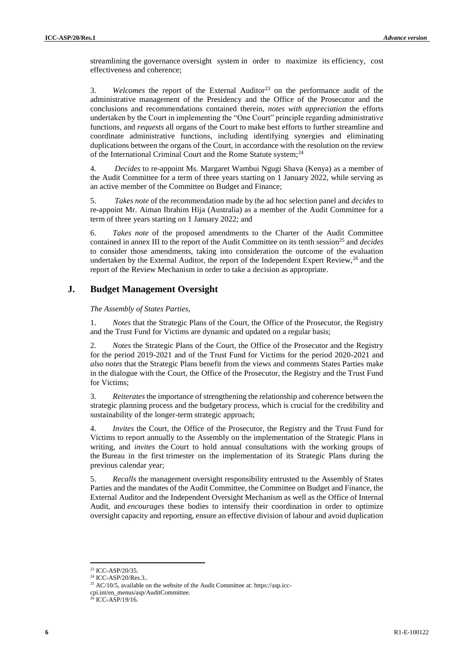streamlining the governance oversight system in order to maximize its efficiency, cost effectiveness and coherence;

3. *Welcomes* the report of the External Auditor<sup>23</sup> on the performance audit of the administrative management of the Presidency and the Office of the Prosecutor and the conclusions and recommendations contained therein, *notes with appreciation* the efforts undertaken by the Court in implementing the "One Court" principle regarding administrative functions, and *requests* all organs of the Court to make best efforts to further streamline and coordinate administrative functions, including identifying synergies and eliminating duplications between the organs of the Court, in accordance with the resolution on the review of the International Criminal Court and the Rome Statute system;<sup>24</sup>

4. *Decides* to re-appoint Ms. Margaret Wambui Ngugi Shava (Kenya) as a member of the Audit Committee for a term of three years starting on 1 January 2022, while serving as an active member of the Committee on Budget and Finance;

5. *Takes note* of the recommendation made by the ad hoc selection panel and *decides* to re-appoint Mr. Aiman Ibrahim Hija (Australia) as a member of the Audit Committee for a term of three years starting on 1 January 2022; and

6. *Takes note* of the proposed amendments to the Charter of the Audit Committee contained in annex III to the report of the Audit Committee on its tenth session<sup>25</sup> and *decides* to consider those amendments, taking into consideration the outcome of the evaluation undertaken by the External Auditor, the report of the Independent Expert Review,<sup>26</sup> and the report of the Review Mechanism in order to take a decision as appropriate.

### **J. Budget Management Oversight**

*The Assembly of States Parties,*

1. *Notes* that the Strategic Plans of the Court, the Office of the Prosecutor, the Registry and the Trust Fund for Victims are dynamic and updated on a regular basis;

2. *Notes* the Strategic Plans of the Court, the Office of the Prosecutor and the Registry for the period 2019-2021 and of the Trust Fund for Victims for the period 2020-2021 and *also notes* that the Strategic Plans benefit from the views and comments States Parties make in the dialogue with the Court, the Office of the Prosecutor, the Registry and the Trust Fund for Victims;

3. *Reiterates* the importance of strengthening the relationship and coherence between the strategic planning process and the budgetary process, which is crucial for the credibility and sustainability of the longer-term strategic approach;

4. *Invites* the Court, the Office of the Prosecutor, the Registry and the Trust Fund for Victims to report annually to the Assembly on the implementation of the Strategic Plans in writing, and *invites* the Court to hold annual consultations with the working groups of the Bureau in the first trimester on the implementation of its Strategic Plans during the previous calendar year;

5. *Recalls* the management oversight responsibility entrusted to the Assembly of States Parties and the mandates of the Audit Committee, the Committee on Budget and Finance, the External Auditor and the Independent Oversight Mechanism as well as the Office of Internal Audit, and *encourages* these bodies to intensify their coordination in order to optimize oversight capacity and reporting, ensure an effective division of labour and avoid duplication

l <sup>23</sup> ICC-ASP/20/35.

<sup>24</sup> ICC-ASP/20/Res.3..

 $25$  AC/10/5, available on the website of the Audit Committee at: https://asp.icc-

cpi.int/en\_menus/asp/AuditCommittee.

<sup>&</sup>lt;sup>26</sup> ICC-ASP/19/16.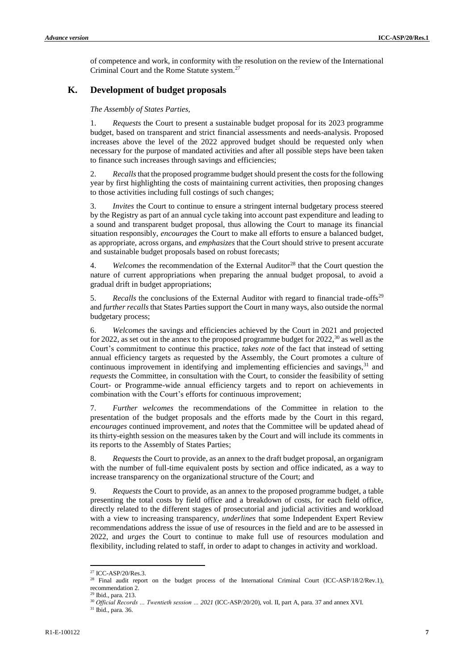of competence and work, in conformity with the resolution on the review of the International Criminal Court and the Rome Statute system.<sup>27</sup>

### **K. Development of budget proposals**

#### *The Assembly of States Parties,*

1. *Requests* the Court to present a sustainable budget proposal for its 2023 programme budget, based on transparent and strict financial assessments and needs-analysis. Proposed increases above the level of the 2022 approved budget should be requested only when necessary for the purpose of mandated activities and after all possible steps have been taken to finance such increases through savings and efficiencies;

2. *Recalls* that the proposed programme budget should present the costs for the following year by first highlighting the costs of maintaining current activities, then proposing changes to those activities including full costings of such changes;

3. *Invites* the Court to continue to ensure a stringent internal budgetary process steered by the Registry as part of an annual cycle taking into account past expenditure and leading to a sound and transparent budget proposal, thus allowing the Court to manage its financial situation responsibly, *encourages* the Court to make all efforts to ensure a balanced budget, as appropriate, across organs, and *emphasizes* that the Court should strive to present accurate and sustainable budget proposals based on robust forecasts;

4. *Welcomes* the recommendation of the External Auditor<sup>28</sup> that the Court question the nature of current appropriations when preparing the annual budget proposal, to avoid a gradual drift in budget appropriations;

5. *Recalls* the conclusions of the External Auditor with regard to financial trade-offs<sup>29</sup> and *further recalls* that States Parties support the Court in many ways, also outside the normal budgetary process;

6. *Welcomes* the savings and efficiencies achieved by the Court in 2021 and projected for 2022, as set out in the annex to the proposed programme budget for  $2022<sup>30</sup>$  as well as the Court's commitment to continue this practice, *takes note* of the fact that instead of setting annual efficiency targets as requested by the Assembly, the Court promotes a culture of continuous improvement in identifying and implementing efficiencies and savings, $31$  and *requests* the Committee, in consultation with the Court, to consider the feasibility of setting Court- or Programme-wide annual efficiency targets and to report on achievements in combination with the Court's efforts for continuous improvement;

7. *Further welcomes* the recommendations of the Committee in relation to the presentation of the budget proposals and the efforts made by the Court in this regard, *encourages* continued improvement, and *notes* that the Committee will be updated ahead of its thirty-eighth session on the measures taken by the Court and will include its comments in its reports to the Assembly of States Parties;

8. *Requests* the Court to provide, as an annex to the draft budget proposal, an organigram with the number of full-time equivalent posts by section and office indicated, as a way to increase transparency on the organizational structure of the Court; and

9. *Requests* the Court to provide, as an annex to the proposed programme budget, a table presenting the total costs by field office and a breakdown of costs, for each field office, directly related to the different stages of prosecutorial and judicial activities and workload with a view to increasing transparency, *underlines* that some Independent Expert Review recommendations address the issue of use of resources in the field and are to be assessed in 2022, and *urges* the Court to continue to make full use of resources modulation and flexibility, including related to staff, in order to adapt to changes in activity and workload.

<sup>27</sup> ICC-ASP/20/Res.3.

<sup>&</sup>lt;sup>28</sup> Final audit report on the budget process of the International Criminal Court (ICC-ASP/18/2/Rev.1), recommendation 2.

<sup>29</sup> Ibid., para. 213.

<sup>30</sup> *Official Records … Twentieth session … 2021* (ICC-ASP/20/20), vol. II, part A, para. 37 and annex XVI.

<sup>31</sup> Ibid., para. 36.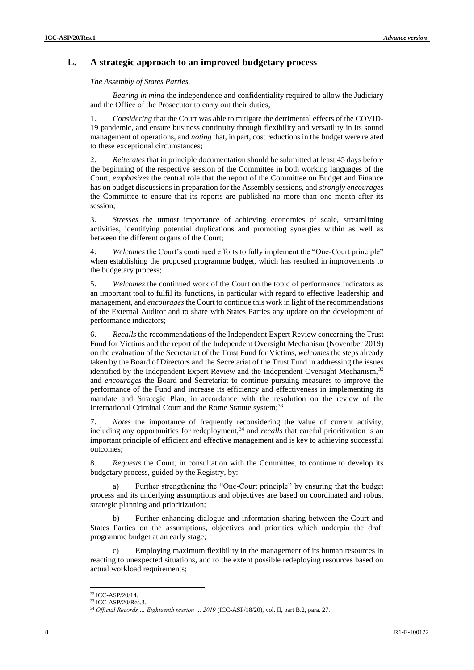### **L. A strategic approach to an improved budgetary process**

*The Assembly of States Parties,*

*Bearing in mind* the independence and confidentiality required to allow the Judiciary and the Office of the Prosecutor to carry out their duties,

1. *Considering* that the Court was able to mitigate the detrimental effects of the COVID-19 pandemic, and ensure business continuity through flexibility and versatility in its sound management of operations, and *noting* that, in part, cost reductions in the budget were related to these exceptional circumstances;

2. *Reiterates* that in principle documentation should be submitted at least 45 days before the beginning of the respective session of the Committee in both working languages of the Court, *emphasizes* the central role that the report of the Committee on Budget and Finance has on budget discussions in preparation for the Assembly sessions, and *strongly encourages* the Committee to ensure that its reports are published no more than one month after its session;

3. *Stresses* the utmost importance of achieving economies of scale, streamlining activities, identifying potential duplications and promoting synergies within as well as between the different organs of the Court;

4. *Welcomes* the Court's continued efforts to fully implement the "One-Court principle" when establishing the proposed programme budget, which has resulted in improvements to the budgetary process;

5. *Welcomes* the continued work of the Court on the topic of performance indicators as an important tool to fulfil its functions, in particular with regard to effective leadership and management, and *encourages* the Court to continue this work in light of the recommendations of the External Auditor and to share with States Parties any update on the development of performance indicators;

6. *Recalls* the recommendations of the Independent Expert Review concerning the Trust Fund for Victims and the report of the Independent Oversight Mechanism (November 2019) on the evaluation of the Secretariat of the Trust Fund for Victims, *welcomes* the steps already taken by the Board of Directors and the Secretariat of the Trust Fund in addressing the issues identified by the Independent Expert Review and the Independent Oversight Mechanism,<sup>32</sup> and *encourages* the Board and Secretariat to continue pursuing measures to improve the performance of the Fund and increase its efficiency and effectiveness in implementing its mandate and Strategic Plan, in accordance with the resolution on the review of the International Criminal Court and the Rome Statute system;<sup>33</sup>

7. *Notes* the importance of frequently reconsidering the value of current activity, including any opportunities for redeployment,<sup>34</sup> and *recalls* that careful prioritization is an important principle of efficient and effective management and is key to achieving successful outcomes;

8. *Requests* the Court, in consultation with the Committee, to continue to develop its budgetary process, guided by the Registry, by:

a) Further strengthening the "One-Court principle" by ensuring that the budget process and its underlying assumptions and objectives are based on coordinated and robust strategic planning and prioritization;

b) Further enhancing dialogue and information sharing between the Court and States Parties on the assumptions, objectives and priorities which underpin the draft programme budget at an early stage;

Employing maximum flexibility in the management of its human resources in reacting to unexpected situations, and to the extent possible redeploying resources based on actual workload requirements;

<sup>32</sup> ICC-ASP/20/14.

<sup>33</sup> ICC-ASP/20/Res.3.

<sup>&</sup>lt;sup>34</sup> Official Records ... Eighteenth session ... 2019 (ICC-ASP/18/20), vol. II, part B.2, para. 27.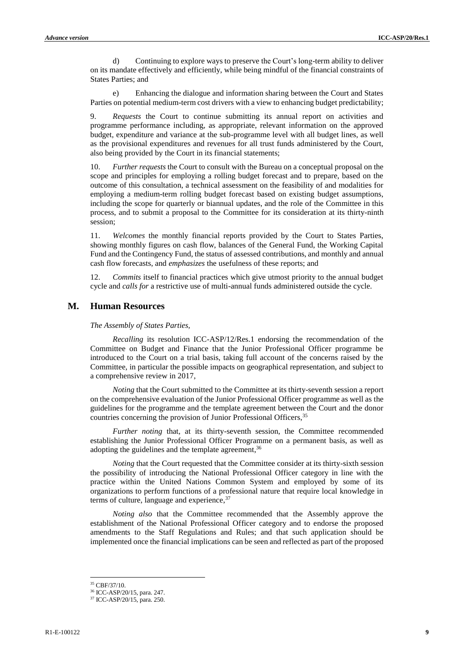d) Continuing to explore ways to preserve the Court's long-term ability to deliver on its mandate effectively and efficiently, while being mindful of the financial constraints of States Parties; and

e) Enhancing the dialogue and information sharing between the Court and States Parties on potential medium-term cost drivers with a view to enhancing budget predictability;

9. *Requests* the Court to continue submitting its annual report on activities and programme performance including, as appropriate, relevant information on the approved budget, expenditure and variance at the sub-programme level with all budget lines, as well as the provisional expenditures and revenues for all trust funds administered by the Court, also being provided by the Court in its financial statements;

10. *Further requests* the Court to consult with the Bureau on a conceptual proposal on the scope and principles for employing a rolling budget forecast and to prepare, based on the outcome of this consultation, a technical assessment on the feasibility of and modalities for employing a medium-term rolling budget forecast based on existing budget assumptions, including the scope for quarterly or biannual updates, and the role of the Committee in this process, and to submit a proposal to the Committee for its consideration at its thirty-ninth session;

11. *Welcomes* the monthly financial reports provided by the Court to States Parties, showing monthly figures on cash flow, balances of the General Fund, the Working Capital Fund and the Contingency Fund, the status of assessed contributions, and monthly and annual cash flow forecasts, and *emphasizes* the usefulness of these reports; and

12. *Commits* itself to financial practices which give utmost priority to the annual budget cycle and *calls for* a restrictive use of multi-annual funds administered outside the cycle.

#### **M. Human Resources**

*The Assembly of States Parties,*

*Recalling* its resolution ICC-ASP/12/Res.1 endorsing the recommendation of the Committee on Budget and Finance that the Junior Professional Officer programme be introduced to the Court on a trial basis, taking full account of the concerns raised by the Committee, in particular the possible impacts on geographical representation, and subject to a comprehensive review in 2017,

*Noting* that the Court submitted to the Committee at its thirty-seventh session a report on the comprehensive evaluation of the Junior Professional Officer programme as well as the guidelines for the programme and the template agreement between the Court and the donor countries concerning the provision of Junior Professional Officers, 35

*Further noting* that, at its thirty-seventh session, the Committee recommended establishing the Junior Professional Officer Programme on a permanent basis, as well as adopting the guidelines and the template agreement,<sup>36</sup>

*Noting* that the Court requested that the Committee consider at its thirty-sixth session the possibility of introducing the National Professional Officer category in line with the practice within the United Nations Common System and employed by some of its organizations to perform functions of a professional nature that require local knowledge in terms of culture, language and experience, 37

*Noting also* that the Committee recommended that the Assembly approve the establishment of the National Professional Officer category and to endorse the proposed amendments to the Staff Regulations and Rules; and that such application should be implemented once the financial implications can be seen and reflected as part of the proposed

<sup>35</sup> CBF/37/10.

<sup>36</sup> ICC-ASP/20/15, para. 247.

<sup>37</sup> ICC-ASP/20/15, para. 250.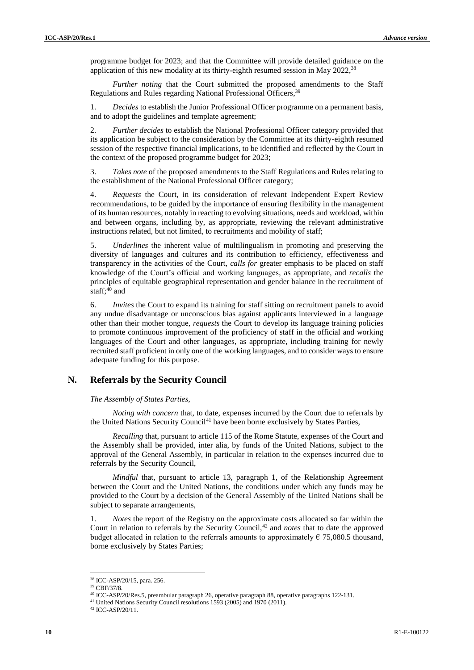programme budget for 2023; and that the Committee will provide detailed guidance on the application of this new modality at its thirty-eighth resumed session in May 2022,<sup>38</sup>

*Further noting* that the Court submitted the proposed amendments to the Staff Regulations and Rules regarding National Professional Officers,<sup>39</sup>

1. *Decides* to establish the Junior Professional Officer programme on a permanent basis, and to adopt the guidelines and template agreement;

2. *Further decides* to establish the National Professional Officer category provided that its application be subject to the consideration by the Committee at its thirty-eighth resumed session of the respective financial implications, to be identified and reflected by the Court in the context of the proposed programme budget for 2023;

3. *Takes note* of the proposed amendments to the Staff Regulations and Rules relating to the establishment of the National Professional Officer category;

4. *Requests* the Court, in its consideration of relevant Independent Expert Review recommendations, to be guided by the importance of ensuring flexibility in the management of its human resources, notably in reacting to evolving situations, needs and workload, within and between organs, including by, as appropriate, reviewing the relevant administrative instructions related, but not limited, to recruitments and mobility of staff;

5. *Underlines* the inherent value of multilingualism in promoting and preserving the diversity of languages and cultures and its contribution to efficiency, effectiveness and transparency in the activities of the Court, *calls for* greater emphasis to be placed on staff knowledge of the Court's official and working languages, as appropriate, and *recalls* the principles of equitable geographical representation and gender balance in the recruitment of staff;<sup>40</sup> and

6. *Invites* the Court to expand its training for staff sitting on recruitment panels to avoid any undue disadvantage or unconscious bias against applicants interviewed in a language other than their mother tongue, *requests* the Court to develop its language training policies to promote continuous improvement of the proficiency of staff in the official and working languages of the Court and other languages, as appropriate, including training for newly recruited staff proficient in only one of the working languages, and to consider ways to ensure adequate funding for this purpose.

### **N. Referrals by the Security Council**

#### *The Assembly of States Parties,*

*Noting with concern* that, to date, expenses incurred by the Court due to referrals by the United Nations Security Council<sup>41</sup> have been borne exclusively by States Parties,

*Recalling* that, pursuant to article 115 of the Rome Statute, expenses of the Court and the Assembly shall be provided, inter alia, by funds of the United Nations, subject to the approval of the General Assembly, in particular in relation to the expenses incurred due to referrals by the Security Council,

*Mindful* that, pursuant to article 13, paragraph 1, of the Relationship Agreement between the Court and the United Nations, the conditions under which any funds may be provided to the Court by a decision of the General Assembly of the United Nations shall be subject to separate arrangements,

1. *Notes* the report of the Registry on the approximate costs allocated so far within the Court in relation to referrals by the Security Council,<sup>42</sup> and *notes* that to date the approved budget allocated in relation to the referrals amounts to approximately  $\epsilon$  75,080.5 thousand, borne exclusively by States Parties;

<sup>38</sup> ICC-ASP/20/15, para. 256.

<sup>39</sup> CBF/37/8.

<sup>40</sup> ICC-ASP/20/Res.5, preambular paragraph 26, operative paragraph 88, operative paragraphs 122-131.

<sup>&</sup>lt;sup>41</sup> United Nations Security Council resolutions 1593 (2005) and 1970 (2011).

<sup>42</sup> ICC-ASP/20/11.